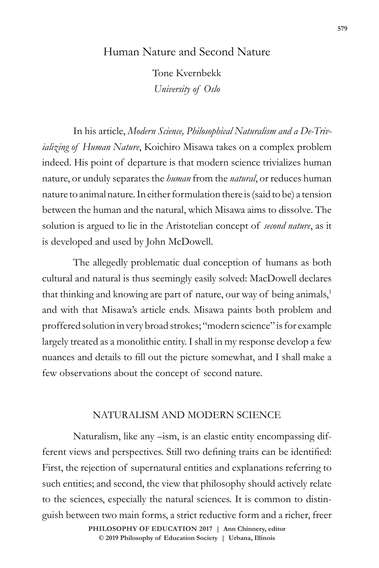## Human Nature and Second Nature

Tone Kvernbekk *University of Oslo*

In his article, *Modern Science, Philosophical Naturalism and a De-Trivializing of Human Nature*, Koichiro Misawa takes on a complex problem indeed. His point of departure is that modern science trivializes human nature, or unduly separates the *human* from the *natural*, or reduces human nature to animal nature. In either formulation there is (said to be) a tension between the human and the natural, which Misawa aims to dissolve. The solution is argued to lie in the Aristotelian concept of *second nature*, as it is developed and used by John McDowell.

The allegedly problematic dual conception of humans as both cultural and natural is thus seemingly easily solved: MacDowell declares that thinking and knowing are part of nature, our way of being animals,<sup>1</sup> and with that Misawa's article ends. Misawa paints both problem and proffered solution in very broad strokes; "modern science" is for example largely treated as a monolithic entity. I shall in my response develop a few nuances and details to fill out the picture somewhat, and I shall make a few observations about the concept of second nature.

## NATURALISM AND MODERN SCIENCE

Naturalism, like any –ism, is an elastic entity encompassing different views and perspectives. Still two defining traits can be identified: First, the rejection of supernatural entities and explanations referring to such entities; and second, the view that philosophy should actively relate to the sciences, especially the natural sciences. It is common to distinguish between two main forms, a strict reductive form and a richer, freer

> **doi: 10.47925/73.579 PHILOSOPHY OF EDUCATION 2017 | Ann Chinnery, editor © 2019 Philosophy of Education Society | Urbana, Illinois**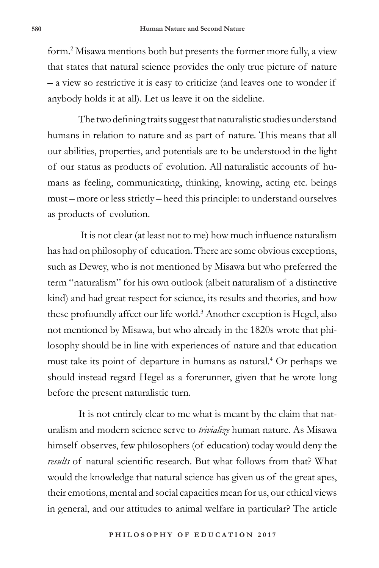form.2 Misawa mentions both but presents the former more fully, a view that states that natural science provides the only true picture of nature – a view so restrictive it is easy to criticize (and leaves one to wonder if anybody holds it at all). Let us leave it on the sideline.

The two defining traits suggest that naturalistic studies understand humans in relation to nature and as part of nature. This means that all our abilities, properties, and potentials are to be understood in the light of our status as products of evolution. All naturalistic accounts of humans as feeling, communicating, thinking, knowing, acting etc. beings must – more or less strictly – heed this principle: to understand ourselves as products of evolution.

 It is not clear (at least not to me) how much influence naturalism has had on philosophy of education. There are some obvious exceptions, such as Dewey, who is not mentioned by Misawa but who preferred the term "naturalism" for his own outlook (albeit naturalism of a distinctive kind) and had great respect for science, its results and theories, and how these profoundly affect our life world.<sup>3</sup> Another exception is Hegel, also not mentioned by Misawa, but who already in the 1820s wrote that philosophy should be in line with experiences of nature and that education must take its point of departure in humans as natural.4 Or perhaps we should instead regard Hegel as a forerunner, given that he wrote long before the present naturalistic turn.

It is not entirely clear to me what is meant by the claim that naturalism and modern science serve to *trivialize* human nature. As Misawa himself observes, few philosophers (of education) today would deny the *results* of natural scientific research. But what follows from that? What would the knowledge that natural science has given us of the great apes, their emotions, mental and social capacities mean for us, our ethical views in general, and our attitudes to animal welfare in particular? The article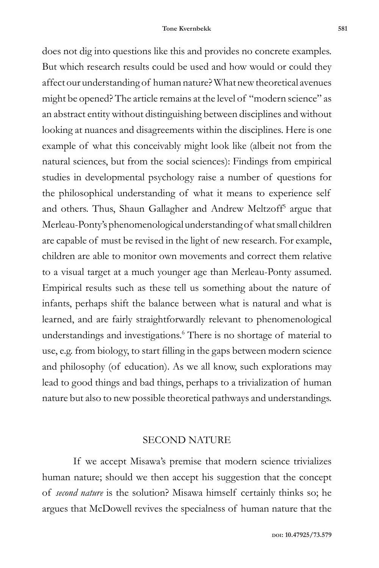does not dig into questions like this and provides no concrete examples. But which research results could be used and how would or could they affect our understanding of human nature? What new theoretical avenues might be opened? The article remains at the level of "modern science" as an abstract entity without distinguishing between disciplines and without looking at nuances and disagreements within the disciplines. Here is one example of what this conceivably might look like (albeit not from the natural sciences, but from the social sciences): Findings from empirical studies in developmental psychology raise a number of questions for the philosophical understanding of what it means to experience self and others. Thus, Shaun Gallagher and Andrew Meltzoff<sup>5</sup> argue that Merleau-Ponty's phenomenological understanding of what small children are capable of must be revised in the light of new research. For example, children are able to monitor own movements and correct them relative to a visual target at a much younger age than Merleau-Ponty assumed. Empirical results such as these tell us something about the nature of infants, perhaps shift the balance between what is natural and what is learned, and are fairly straightforwardly relevant to phenomenological understandings and investigations.6 There is no shortage of material to use, e.g. from biology, to start filling in the gaps between modern science and philosophy (of education). As we all know, such explorations may lead to good things and bad things, perhaps to a trivialization of human nature but also to new possible theoretical pathways and understandings.

## SECOND NATURE

If we accept Misawa's premise that modern science trivializes human nature; should we then accept his suggestion that the concept of *second nature* is the solution? Misawa himself certainly thinks so; he argues that McDowell revives the specialness of human nature that the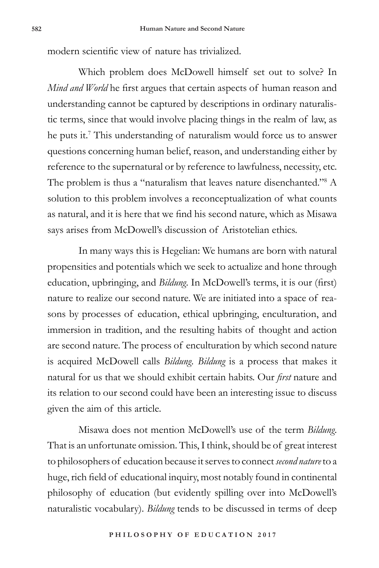modern scientific view of nature has trivialized.

Which problem does McDowell himself set out to solve? In *Mind and World* he first argues that certain aspects of human reason and understanding cannot be captured by descriptions in ordinary naturalistic terms, since that would involve placing things in the realm of law, as he puts it.<sup>7</sup> This understanding of naturalism would force us to answer questions concerning human belief, reason, and understanding either by reference to the supernatural or by reference to lawfulness, necessity, etc. The problem is thus a "naturalism that leaves nature disenchanted."<sup>8</sup> A solution to this problem involves a reconceptualization of what counts as natural, and it is here that we find his second nature, which as Misawa says arises from McDowell's discussion of Aristotelian ethics.

In many ways this is Hegelian: We humans are born with natural propensities and potentials which we seek to actualize and hone through education, upbringing, and *Bildung*. In McDowell's terms, it is our (first) nature to realize our second nature. We are initiated into a space of reasons by processes of education, ethical upbringing, enculturation, and immersion in tradition, and the resulting habits of thought and action are second nature. The process of enculturation by which second nature is acquired McDowell calls *Bildung. Bildung* is a process that makes it natural for us that we should exhibit certain habits. Our *first* nature and its relation to our second could have been an interesting issue to discuss given the aim of this article.

Misawa does not mention McDowell's use of the term *Bildung*. That is an unfortunate omission. This, I think, should be of great interest to philosophers of education because it serves to connect *second nature* to a huge, rich field of educational inquiry, most notably found in continental philosophy of education (but evidently spilling over into McDowell's naturalistic vocabulary). *Bildung* tends to be discussed in terms of deep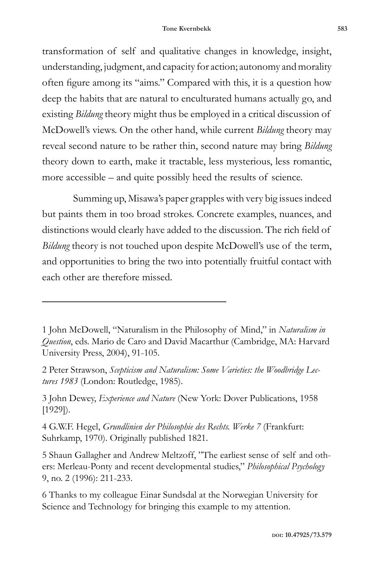transformation of self and qualitative changes in knowledge, insight, understanding, judgment, and capacity for action; autonomy and morality often figure among its "aims." Compared with this, it is a question how deep the habits that are natural to enculturated humans actually go, and existing *Bildung* theory might thus be employed in a critical discussion of McDowell's views. On the other hand, while current *Bildung* theory may reveal second nature to be rather thin, second nature may bring *Bildung* theory down to earth, make it tractable, less mysterious, less romantic, more accessible – and quite possibly heed the results of science.

Summing up, Misawa's paper grapples with very big issues indeed but paints them in too broad strokes. Concrete examples, nuances, and distinctions would clearly have added to the discussion. The rich field of *Bildung* theory is not touched upon despite McDowell's use of the term, and opportunities to bring the two into potentially fruitful contact with each other are therefore missed.

1 John McDowell, "Naturalism in the Philosophy of Mind," in *Naturalism in Question*, eds. Mario de Caro and David Macarthur (Cambridge, MA: Harvard University Press, 2004), 91-105.

2 Peter Strawson, *Scepticism and Naturalism: Some Varieties: the Woodbridge Lectures 1983* (London: Routledge, 1985).

3 John Dewey, *Experience and Nature* (New York: Dover Publications, 1958 [1929]).

4 G.W.F. Hegel, *Grundlinien der Philosophie des Rechts. Werke 7* (Frankfurt: Suhrkamp, 1970). Originally published 1821.

5 Shaun Gallagher and Andrew Meltzoff, "The earliest sense of self and others: Merleau-Ponty and recent developmental studies," *Philosophical Psychology*  9, no. 2 (1996): 211-233.

6 Thanks to my colleague Einar Sundsdal at the Norwegian University for Science and Technology for bringing this example to my attention.